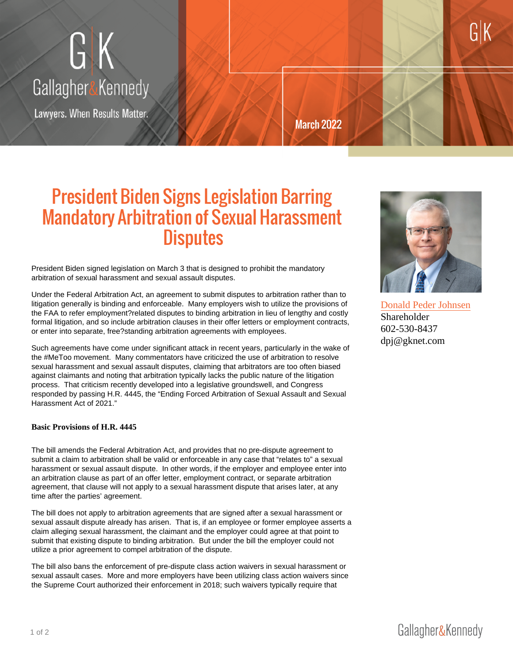## President Biden Signs Legislation Ba Mandatory Arbitration of Sexual Hara Disputes

President Biden signed legislation on March 3 that is designed to prohibit the mandatory arbitration of sexual harassment and sexual assault disputes.

Under the Federal Arbitration Act, an agreement to submit disputes to arbitration rather than to litigation generally is binding and enforceable. Many employers wish to utilize the provisions of the FAA to refer employment?related disputes to binding arbitration in lieu of lengthy and costly formal litigation, and so include arbitration clauses in their offer letters or employment contracts, or enter into separate, free?standing arbitration agreements with employees.

Such agreements have come under significant attack in recent years, particularly in the wake of the #MeToo movement. Many commentators have criticized the use of arbitration to resolve sexual harassment and sexual assault disputes, claiming that arbitrators are too often biased against claimants and noting that arbitration typically lacks the public nature of the litigation process. That criticism recently developed into a legislative groundswell, and Congress responded by passing H.R. 4445, the "Ending Forced Arbitration of Sexual Assault and Sexual Harassment Act of 2021."

Basic Provisions of H.R. 4445

The bill amends the Federal Arbitration Act, and provides that no pre-dispute agreement to submit a claim to arbitration shall be valid or enforceable in any case that "relates to" a sexual harassment or sexual assault dispute. In other words, if the employer and employee enter into an arbitration clause as part of an offer letter, employment contract, or separate arbitration agreement, that clause will not apply to a sexual harassment dispute that arises later, at any time after the parties' agreement.

The bill does not apply to arbitration agreements that are signed after a sexual harassment or sexual assault dispute already has arisen. That is, if an employee or former employee asserts a claim alleging sexual harassment, the claimant and the employer could agree at that point to submit that existing dispute to binding arbitration. But under the bill the employer could not utilize a prior agreement to compel arbitration of the dispute.

The bill also bans the enforcement of pre-dispute class action waivers in sexual harassment or sexual assault cases. More and more employers have been utilizing class action waivers since the Supreme Court authorized their enforcement in 2018; such waivers typically require that

[Donald Peder Johns](https://gknet.com/attorneys/donjohnsen/)en **Shareholder** 602-530-8437 dpj@gknet.com